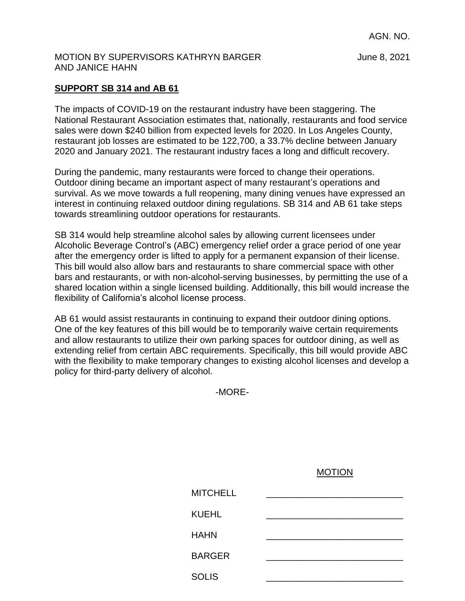AGN. NO.

## MOTION BY SUPERVISORS KATHRYN BARGER June 8, 2021 AND JANICE HAHN

## **SUPPORT SB 314 and AB 61**

The impacts of COVID-19 on the restaurant industry have been staggering. The National Restaurant Association estimates that, nationally, restaurants and food service sales were down \$240 billion from expected levels for 2020. In Los Angeles County, restaurant job losses are estimated to be 122,700, a 33.7% decline between January 2020 and January 2021. The restaurant industry faces a long and difficult recovery.

During the pandemic, many restaurants were forced to change their operations. Outdoor dining became an important aspect of many restaurant's operations and survival. As we move towards a full reopening, many dining venues have expressed an interest in continuing relaxed outdoor dining regulations. SB 314 and AB 61 take steps towards streamlining outdoor operations for restaurants.

SB 314 would help streamline alcohol sales by allowing current licensees under Alcoholic Beverage Control's (ABC) emergency relief order a grace period of one year after the emergency order is lifted to apply for a permanent expansion of their license. This bill would also allow bars and restaurants to share commercial space with other bars and restaurants, or with non-alcohol-serving businesses, by permitting the use of a shared location within a single licensed building. Additionally, this bill would increase the flexibility of California's alcohol license process.

AB 61 would assist restaurants in continuing to expand their outdoor dining options. One of the key features of this bill would be to temporarily waive certain requirements and allow restaurants to utilize their own parking spaces for outdoor dining, as well as extending relief from certain ABC requirements. Specifically, this bill would provide ABC with the flexibility to make temporary changes to existing alcohol licenses and develop a policy for third-party delivery of alcohol.

-MORE-

| <b>MITCHELL</b> |  |
|-----------------|--|
| <b>KUEHL</b>    |  |
| <b>HAHN</b>     |  |
| <b>BARGER</b>   |  |
| <b>SOLIS</b>    |  |

MOTION